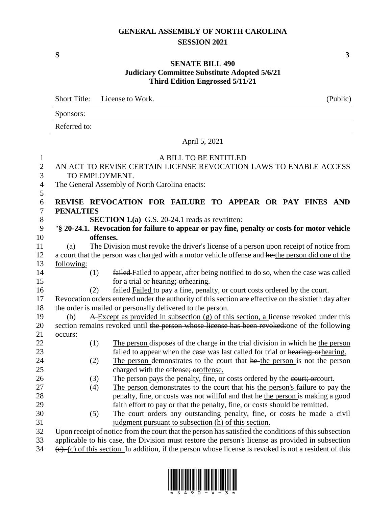## **GENERAL ASSEMBLY OF NORTH CAROLINA SESSION 2021**

Short Title: License to Work.

## **SENATE BILL 490 Judiciary Committee Substitute Adopted 5/6/21 Third Edition Engrossed 5/11/21**

Sponsors: Referred to: April 5, 2021 A BILL TO BE ENTITLED AN ACT TO REVISE CERTAIN LICENSE REVOCATION LAWS TO ENABLE ACCESS TO EMPLOYMENT. The General Assembly of North Carolina enacts: 5 **REVISE REVOCATION FOR FAILURE TO APPEAR OR PAY FINES AND PENALTIES SECTION 1.(a)** G.S. 20-24.1 reads as rewritten: "**§ 20-24.1. Revocation for failure to appear or pay fine, penalty or costs for motor vehicle offenses.** (a) The Division must revoke the driver's license of a person upon receipt of notice from 12 a court that the person was charged with a motor vehicle offense and he: the person did one of the following: (1) failed Failed to appear, after being notified to do so, when the case was called 15 for a trial or hearing; or hearing. (2) failed Failed to pay a fine, penalty, or court costs ordered by the court. Revocation orders entered under the authority of this section are effective on the sixtieth day after the order is mailed or personally delivered to the person. (b) A Except as provided in subsection (g) of this section, a license revoked under this 20 section remains revoked until the person whose license has been revoked: one of the following 21 occurs: (1) The person disposes of the charge in the trial division in which he the person 23 failed to appear when the case was last called for trial or hearing; orhearing. 24 (2) The person demonstrates to the court that he the person is not the person charged with the offense; oroffense. 26 (3) The person pays the penalty, fine, or costs ordered by the court; or court. (4) The person demonstrates to the court that his the person's failure to pay the 28 penalty, fine, or costs was not willful and that he the person is making a good faith effort to pay or that the penalty, fine, or costs should be remitted. (5) The court orders any outstanding penalty, fine, or costs be made a civil judgment pursuant to subsection (h) of this section.

32 Upon receipt of notice from the court that the person has satisfied the conditions of this subsection

33 applicable to his case, the Division must restore the person's license as provided in subsection  $34$  (e). (c) of this section. In addition, if the person whose license is revoked is not a resident of this



**S 3**

| (Public) |  |  |
|----------|--|--|
|          |  |  |
|          |  |  |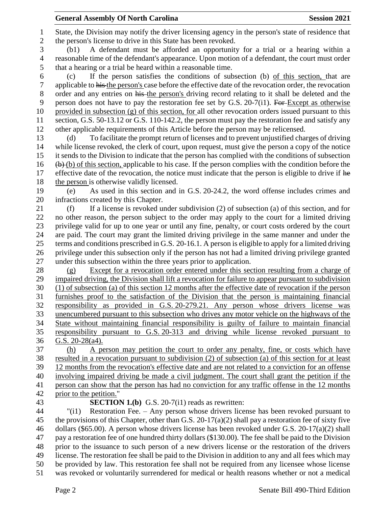State, the Division may notify the driver licensing agency in the person's state of residence that the person's license to drive in this State has been revoked. (b1) A defendant must be afforded an opportunity for a trial or a hearing within a reasonable time of the defendant's appearance. Upon motion of a defendant, the court must order that a hearing or a trial be heard within a reasonable time. (c) If the person satisfies the conditions of subsection (b) of this section, that are applicable to his the person's case before the effective date of the revocation order, the revocation order and any entries on his the person's driving record relating to it shall be deleted and the 9 person does not have to pay the restoration fee set by G.S. 20-7(i1). For Except as otherwise provided in subsection (g) of this section, for all other revocation orders issued pursuant to this section, G.S. 50-13.12 or G.S. 110-142.2, the person must pay the restoration fee and satisfy any other applicable requirements of this Article before the person may be relicensed. (d) To facilitate the prompt return of licenses and to prevent unjustified charges of driving while license revoked, the clerk of court, upon request, must give the person a copy of the notice it sends to the Division to indicate that the person has complied with the conditions of subsection (b) of this section, applicable to his case. If the person complies with the condition before the 17 effective date of the revocation, the notice must indicate that the person is eligible to drive if he the person is otherwise validly licensed. (e) As used in this section and in G.S. 20-24.2, the word offense includes crimes and infractions created by this Chapter. (f) If a license is revoked under subdivision (2) of subsection (a) of this section, and for no other reason, the person subject to the order may apply to the court for a limited driving privilege valid for up to one year or until any fine, penalty, or court costs ordered by the court are paid. The court may grant the limited driving privilege in the same manner and under the terms and conditions prescribed in G.S. 20-16.1. A person is eligible to apply for a limited driving privilege under this subsection only if the person has not had a limited driving privilege granted under this subsection within the three years prior to application. (g) Except for a revocation order entered under this section resulting from a charge of impaired driving, the Division shall lift a revocation for failure to appear pursuant to subdivision (1) of subsection (a) of this section 12 months after the effective date of revocation if the person furnishes proof to the satisfaction of the Division that the person is maintaining financial responsibility as provided in G.S. 20-279.21. Any person whose drivers license was unencumbered pursuant to this subsection who drives any motor vehicle on the highways of the State without maintaining financial responsibility is guilty of failure to maintain financial responsibility pursuant to G.S. 20-313 and driving while license revoked pursuant to G.S. 20-28(a4). (h) A person may petition the court to order any penalty, fine, or costs which have resulted in a revocation pursuant to subdivision (2) of subsection (a) of this section for at least 12 months from the revocation's effective date and are not related to a conviction for an offense involving impaired driving be made a civil judgment. The court shall grant the petition if the person can show that the person has had no conviction for any traffic offense in the 12 months prior to the petition." **SECTION 1.(b)** G.S. 20-7(i1) reads as rewritten: "(i1) Restoration Fee. – Any person whose drivers license has been revoked pursuant to 45 the provisions of this Chapter, other than G.S. 20-17(a)(2) shall pay a restoration fee of sixty five dollars (\$65.00). A person whose drivers license has been revoked under G.S. 20-17(a)(2) shall pay a restoration fee of one hundred thirty dollars (\$130.00). The fee shall be paid to the Division prior to the issuance to such person of a new drivers license or the restoration of the drivers license. The restoration fee shall be paid to the Division in addition to any and all fees which may be provided by law. This restoration fee shall not be required from any licensee whose license was revoked or voluntarily surrendered for medical or health reasons whether or not a medical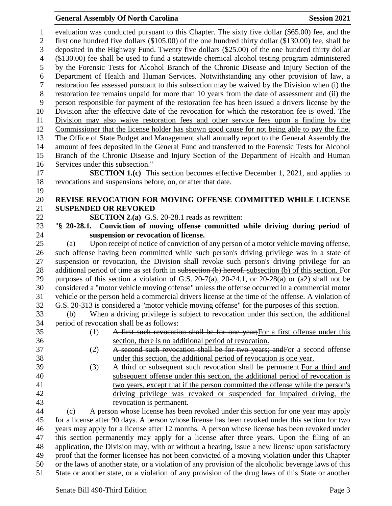## **General Assembly Of North Carolina Session 2021**

 evaluation was conducted pursuant to this Chapter. The sixty five dollar (\$65.00) fee, and the first one hundred five dollars (\$105.00) of the one hundred thirty dollar (\$130.00) fee, shall be deposited in the Highway Fund. Twenty five dollars (\$25.00) of the one hundred thirty dollar (\$130.00) fee shall be used to fund a statewide chemical alcohol testing program administered by the Forensic Tests for Alcohol Branch of the Chronic Disease and Injury Section of the Department of Health and Human Services. Notwithstanding any other provision of law, a restoration fee assessed pursuant to this subsection may be waived by the Division when (i) the restoration fee remains unpaid for more than 10 years from the date of assessment and (ii) the person responsible for payment of the restoration fee has been issued a drivers license by the Division after the effective date of the revocation for which the restoration fee is owed. The Division may also waive restoration fees and other service fees upon a finding by the Commissioner that the license holder has shown good cause for not being able to pay the fine. The Office of State Budget and Management shall annually report to the General Assembly the amount of fees deposited in the General Fund and transferred to the Forensic Tests for Alcohol Branch of the Chronic Disease and Injury Section of the Department of Health and Human Services under this subsection." **SECTION 1.(c)** This section becomes effective December 1, 2021, and applies to revocations and suspensions before, on, or after that date. **REVISE REVOCATION FOR MOVING OFFENSE COMMITTED WHILE LICENSE SUSPENDED OR REVOKED SECTION 2.(a)** G.S. 20-28.1 reads as rewritten: "**§ 20-28.1. Conviction of moving offense committed while driving during period of suspension or revocation of license.** (a) Upon receipt of notice of conviction of any person of a motor vehicle moving offense, such offense having been committed while such person's driving privilege was in a state of suspension or revocation, the Division shall revoke such person's driving privilege for an 28 additional period of time as set forth in subsection (b) hereof. subsection (b) of this section. For purposes of this section a violation of G.S. 20-7(a), 20-24.1, or 20-28(a) or (a2) shall not be considered a "motor vehicle moving offense" unless the offense occurred in a commercial motor vehicle or the person held a commercial drivers license at the time of the offense. A violation of G.S. 20-313 is considered a "motor vehicle moving offense" for the purposes of this section. (b) When a driving privilege is subject to revocation under this section, the additional period of revocation shall be as follows: (1) A first such revocation shall be for one year;For a first offense under this section, there is no additional period of revocation. (2) A second such revocation shall be for two years; andFor a second offense under this section, the additional period of revocation is one year. (3) A third or subsequent such revocation shall be permanent.For a third and subsequent offense under this section, the additional period of revocation is two years, except that if the person committed the offense while the person's driving privilege was revoked or suspended for impaired driving, the revocation is permanent. (c) A person whose license has been revoked under this section for one year may apply for a license after 90 days. A person whose license has been revoked under this section for two years may apply for a license after 12 months. A person whose license has been revoked under this section permanently may apply for a license after three years. Upon the filing of an application, the Division may, with or without a hearing, issue a new license upon satisfactory proof that the former licensee has not been convicted of a moving violation under this Chapter or the laws of another state, or a violation of any provision of the alcoholic beverage laws of this State or another state, or a violation of any provision of the drug laws of this State or another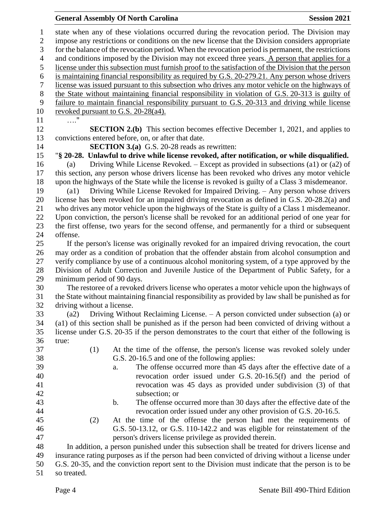## **General Assembly Of North Carolina Session 2021**

 state when any of these violations occurred during the revocation period. The Division may impose any restrictions or conditions on the new license that the Division considers appropriate for the balance of the revocation period. When the revocation period is permanent, the restrictions and conditions imposed by the Division may not exceed three years. A person that applies for a license under this subsection must furnish proof to the satisfaction of the Division that the person is maintaining financial responsibility as required by G.S. 20-279.21. Any person whose drivers license was issued pursuant to this subsection who drives any motor vehicle on the highways of the State without maintaining financial responsibility in violation of G.S. 20-313 is guilty of failure to maintain financial responsibility pursuant to G.S. 20-313 and driving while license revoked pursuant to G.S. 20-28(a4). …." **SECTION 2.(b)** This section becomes effective December 1, 2021, and applies to convictions entered before, on, or after that date. **SECTION 3.(a)** G.S. 20-28 reads as rewritten: "**§ 20-28. Unlawful to drive while license revoked, after notification, or while disqualified.** (a) Driving While License Revoked. – Except as provided in subsections (a1) or (a2) of this section, any person whose drivers license has been revoked who drives any motor vehicle upon the highways of the State while the license is revoked is guilty of a Class 3 misdemeanor. (a1) Driving While License Revoked for Impaired Driving. – Any person whose drivers license has been revoked for an impaired driving revocation as defined in G.S. 20-28.2(a) and who drives any motor vehicle upon the highways of the State is guilty of a Class 1 misdemeanor. Upon conviction, the person's license shall be revoked for an additional period of one year for the first offense, two years for the second offense, and permanently for a third or subsequent offense. If the person's license was originally revoked for an impaired driving revocation, the court may order as a condition of probation that the offender abstain from alcohol consumption and verify compliance by use of a continuous alcohol monitoring system, of a type approved by the Division of Adult Correction and Juvenile Justice of the Department of Public Safety, for a minimum period of 90 days. The restoree of a revoked drivers license who operates a motor vehicle upon the highways of the State without maintaining financial responsibility as provided by law shall be punished as for driving without a license. (a2) Driving Without Reclaiming License. – A person convicted under subsection (a) or (a1) of this section shall be punished as if the person had been convicted of driving without a license under G.S. 20-35 if the person demonstrates to the court that either of the following is true: (1) At the time of the offense, the person's license was revoked solely under G.S. 20-16.5 and one of the following applies: a. The offense occurred more than 45 days after the effective date of a revocation order issued under G.S. 20-16.5(f) and the period of revocation was 45 days as provided under subdivision (3) of that subsection; or b. The offense occurred more than 30 days after the effective date of the revocation order issued under any other provision of G.S. 20-16.5. (2) At the time of the offense the person had met the requirements of G.S. 50-13.12, or G.S. 110-142.2 and was eligible for reinstatement of the person's drivers license privilege as provided therein. In addition, a person punished under this subsection shall be treated for drivers license and insurance rating purposes as if the person had been convicted of driving without a license under G.S. 20-35, and the conviction report sent to the Division must indicate that the person is to be so treated.